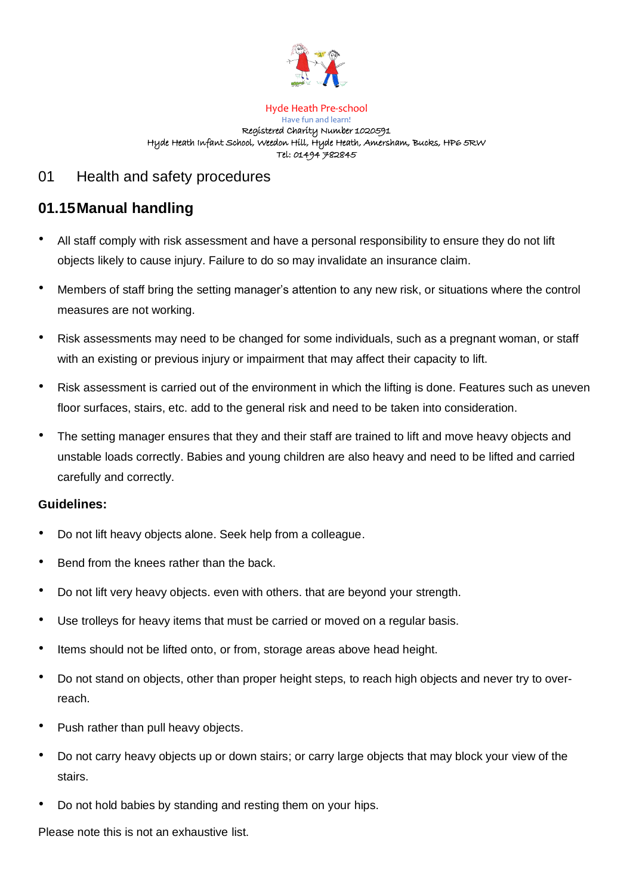

Hyde Heath Pre-school Have fun and learn! Registered Charity Number 1020591 Hyde Heath Infant School, Weedon Hill, Hyde Heath, Amersham, Bucks, HP6 5RW Tel: 01494 782845

## 01 Health and safety procedures

## **01.15Manual handling**

- All staff comply with risk assessment and have a personal responsibility to ensure they do not lift objects likely to cause injury. Failure to do so may invalidate an insurance claim.
- Members of staff bring the setting manager's attention to any new risk, or situations where the control measures are not working.
- Risk assessments may need to be changed for some individuals, such as a pregnant woman, or staff with an existing or previous injury or impairment that may affect their capacity to lift.
- Risk assessment is carried out of the environment in which the lifting is done. Features such as uneven floor surfaces, stairs, etc. add to the general risk and need to be taken into consideration.
- The setting manager ensures that they and their staff are trained to lift and move heavy objects and unstable loads correctly. Babies and young children are also heavy and need to be lifted and carried carefully and correctly.

## **Guidelines:**

- Do not lift heavy objects alone. Seek help from a colleague.
- Bend from the knees rather than the back.
- Do not lift very heavy objects. even with others. that are beyond your strength.
- Use trolleys for heavy items that must be carried or moved on a regular basis.
- Items should not be lifted onto, or from, storage areas above head height.
- Do not stand on objects, other than proper height steps, to reach high objects and never try to overreach.
- Push rather than pull heavy objects.
- Do not carry heavy objects up or down stairs; or carry large objects that may block your view of the stairs.
- Do not hold babies by standing and resting them on your hips.

Please note this is not an exhaustive list.